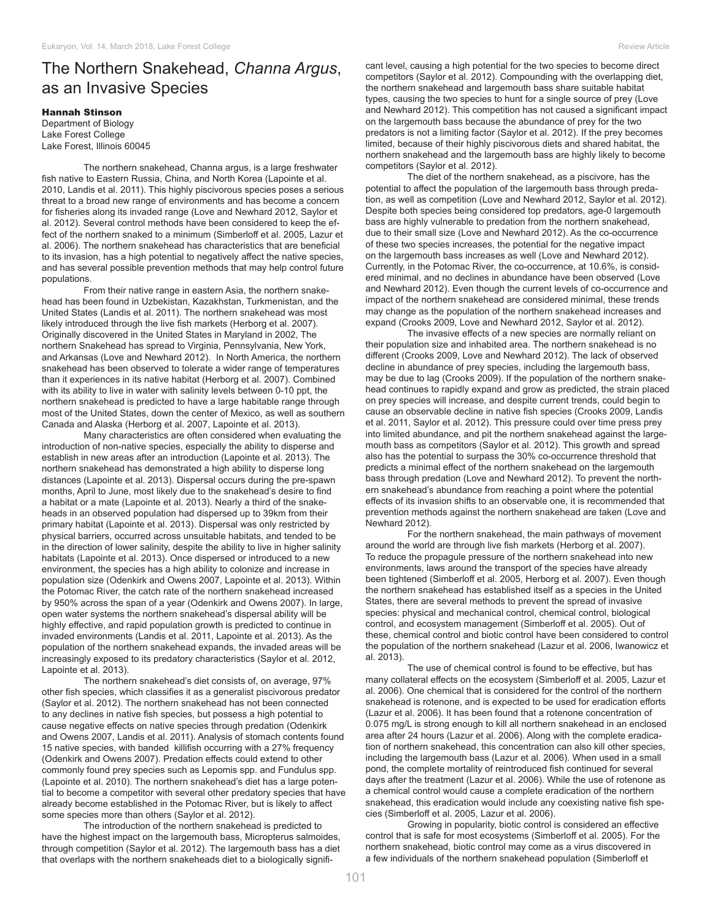## The Northern Snakehead, *Channa Argus*, as an Invasive Species

## Hannah Stinson

Department of Biology Lake Forest College Lake Forest, Illinois 60045

The northern snakehead, Channa argus, is a large freshwater fish native to Eastern Russia, China, and North Korea (Lapointe et al. 2010, Landis et al. 2011). This highly piscivorous species poses a serious threat to a broad new range of environments and has become a concern for fisheries along its invaded range (Love and Newhard 2012, Saylor et al. 2012). Several control methods have been considered to keep the effect of the northern snaked to a minimum (Simberloff et al. 2005, Lazur et al. 2006). The northern snakehead has characteristics that are beneficial to its invasion, has a high potential to negatively affect the native species, and has several possible prevention methods that may help control future populations.

From their native range in eastern Asia, the northern snakehead has been found in Uzbekistan, Kazakhstan, Turkmenistan, and the United States (Landis et al. 2011). The northern snakehead was most likely introduced through the live fish markets (Herborg et al. 2007). Originally discovered in the United States in Maryland in 2002, The northern Snakehead has spread to Virginia, Pennsylvania, New York, and Arkansas (Love and Newhard 2012). In North America, the northern snakehead has been observed to tolerate a wider range of temperatures than it experiences in its native habitat (Herborg et al. 2007). Combined with its ability to live in water with salinity levels between 0-10 ppt, the northern snakehead is predicted to have a large habitable range through most of the United States, down the center of Mexico, as well as southern Canada and Alaska (Herborg et al. 2007, Lapointe et al. 2013).

Many characteristics are often considered when evaluating the introduction of non-native species, especially the ability to disperse and establish in new areas after an introduction (Lapointe et al. 2013). The northern snakehead has demonstrated a high ability to disperse long distances (Lapointe et al. 2013). Dispersal occurs during the pre-spawn months, April to June, most likely due to the snakehead's desire to find a habitat or a mate (Lapointe et al. 2013). Nearly a third of the snakeheads in an observed population had dispersed up to 39km from their primary habitat (Lapointe et al. 2013). Dispersal was only restricted by physical barriers, occurred across unsuitable habitats, and tended to be in the direction of lower salinity, despite the ability to live in higher salinity habitats (Lapointe et al. 2013). Once dispersed or introduced to a new environment, the species has a high ability to colonize and increase in population size (Odenkirk and Owens 2007, Lapointe et al. 2013). Within the Potomac River, the catch rate of the northern snakehead increased by 950% across the span of a year (Odenkirk and Owens 2007). In large, open water systems the northern snakehead's dispersal ability will be highly effective, and rapid population growth is predicted to continue in invaded environments (Landis et al. 2011, Lapointe et al. 2013). As the population of the northern snakehead expands, the invaded areas will be increasingly exposed to its predatory characteristics (Saylor et al. 2012, Lapointe et al. 2013).

The northern snakehead's diet consists of, on average, 97% other fish species, which classifies it as a generalist piscivorous predator (Saylor et al. 2012). The northern snakehead has not been connected to any declines in native fish species, but possess a high potential to cause negative effects on native species through predation (Odenkirk and Owens 2007, Landis et al. 2011). Analysis of stomach contents found 15 native species, with banded killifish occurring with a 27% frequency (Odenkirk and Owens 2007). Predation effects could extend to other commonly found prey species such as Lepomis spp. and Fundulus spp. (Lapointe et al. 2010). The northern snakehead's diet has a large potential to become a competitor with several other predatory species that have already become established in the Potomac River, but is likely to affect some species more than others (Saylor et al. 2012).

The introduction of the northern snakehead is predicted to have the highest impact on the largemouth bass, Micropterus salmoides, through competition (Saylor et al. 2012). The largemouth bass has a diet that overlaps with the northern snakeheads diet to a biologically significant level, causing a high potential for the two species to become direct competitors (Saylor et al. 2012). Compounding with the overlapping diet, the northern snakehead and largemouth bass share suitable habitat types, causing the two species to hunt for a single source of prey (Love and Newhard 2012). This competition has not caused a significant impact on the largemouth bass because the abundance of prey for the two predators is not a limiting factor (Saylor et al. 2012). If the prey becomes limited, because of their highly piscivorous diets and shared habitat, the northern snakehead and the largemouth bass are highly likely to become competitors (Saylor et al. 2012).

The diet of the northern snakehead, as a piscivore, has the potential to affect the population of the largemouth bass through predation, as well as competition (Love and Newhard 2012, Saylor et al. 2012). Despite both species being considered top predators, age-0 largemouth bass are highly vulnerable to predation from the northern snakehead, due to their small size (Love and Newhard 2012). As the co-occurrence of these two species increases, the potential for the negative impact on the largemouth bass increases as well (Love and Newhard 2012). Currently, in the Potomac River, the co-occurrence, at 10.6%, is considered minimal, and no declines in abundance have been observed (Love and Newhard 2012). Even though the current levels of co-occurrence and impact of the northern snakehead are considered minimal, these trends may change as the population of the northern snakehead increases and expand (Crooks 2009, Love and Newhard 2012, Saylor et al. 2012).

The invasive effects of a new species are normally reliant on their population size and inhabited area. The northern snakehead is no different (Crooks 2009, Love and Newhard 2012). The lack of observed decline in abundance of prey species, including the largemouth bass, may be due to lag (Crooks 2009). If the population of the northern snakehead continues to rapidly expand and grow as predicted, the strain placed on prey species will increase, and despite current trends, could begin to cause an observable decline in native fish species (Crooks 2009, Landis et al. 2011, Saylor et al. 2012). This pressure could over time press prey into limited abundance, and pit the northern snakehead against the largemouth bass as competitors (Saylor et al. 2012). This growth and spread also has the potential to surpass the 30% co-occurrence threshold that predicts a minimal effect of the northern snakehead on the largemouth bass through predation (Love and Newhard 2012). To prevent the northern snakehead's abundance from reaching a point where the potential effects of its invasion shifts to an observable one, it is recommended that prevention methods against the northern snakehead are taken (Love and Newhard 2012).

For the northern snakehead, the main pathways of movement around the world are through live fish markets (Herborg et al. 2007). To reduce the propagule pressure of the northern snakehead into new environments, laws around the transport of the species have already been tightened (Simberloff et al. 2005, Herborg et al. 2007). Even though the northern snakehead has established itself as a species in the United States, there are several methods to prevent the spread of invasive species: physical and mechanical control, chemical control, biological control, and ecosystem management (Simberloff et al. 2005). Out of these, chemical control and biotic control have been considered to control the population of the northern snakehead (Lazur et al. 2006, Iwanowicz et al. 2013).

The use of chemical control is found to be effective, but has many collateral effects on the ecosystem (Simberloff et al. 2005, Lazur et al. 2006). One chemical that is considered for the control of the northern snakehead is rotenone, and is expected to be used for eradication efforts (Lazur et al. 2006). It has been found that a rotenone concentration of 0.075 mg/L is strong enough to kill all northern snakehead in an enclosed area after 24 hours (Lazur et al. 2006). Along with the complete eradication of northern snakehead, this concentration can also kill other species, including the largemouth bass (Lazur et al. 2006). When used in a small pond, the complete mortality of reintroduced fish continued for several days after the treatment (Lazur et al. 2006). While the use of rotenone as a chemical control would cause a complete eradication of the northern snakehead, this eradication would include any coexisting native fish species (Simberloff et al. 2005, Lazur et al. 2006).

Growing in popularity, biotic control is considered an effective control that is safe for most ecosystems (Simberloff et al. 2005). For the northern snakehead, biotic control may come as a virus discovered in a few individuals of the northern snakehead population (Simberloff et